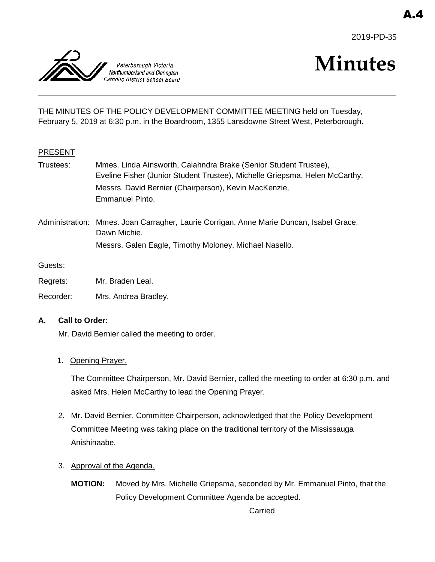2019-PD-35



# **Minutes**

THE MINUTES OF THE POLICY DEVELOPMENT COMMITTEE MEETING held on Tuesday, February 5, 2019 at 6:30 p.m. in the Boardroom, 1355 Lansdowne Street West, Peterborough.

# PRESENT

- Trustees: Mmes. Linda Ainsworth, Calahndra Brake (Senior Student Trustee), Eveline Fisher (Junior Student Trustee), Michelle Griepsma, Helen McCarthy. Messrs. David Bernier (Chairperson), Kevin MacKenzie, Emmanuel Pinto.
- Administration: Mmes. Joan Carragher, Laurie Corrigan, Anne Marie Duncan, Isabel Grace, Dawn Michie. Messrs. Galen Eagle, Timothy Moloney, Michael Nasello.

Guests:

Regrets: Mr. Braden Leal.

Recorder: Mrs. Andrea Bradley.

# **A. Call to Order**:

Mr. David Bernier called the meeting to order.

# 1. Opening Prayer.

The Committee Chairperson, Mr. David Bernier, called the meeting to order at 6:30 p.m. and asked Mrs. Helen McCarthy to lead the Opening Prayer.

- 2. Mr. David Bernier, Committee Chairperson, acknowledged that the Policy Development Committee Meeting was taking place on the traditional territory of the Mississauga Anishinaabe.
- 3. Approval of the Agenda.
	- **MOTION:** Moved by Mrs. Michelle Griepsma, seconded by Mr. Emmanuel Pinto, that the Policy Development Committee Agenda be accepted.

Carried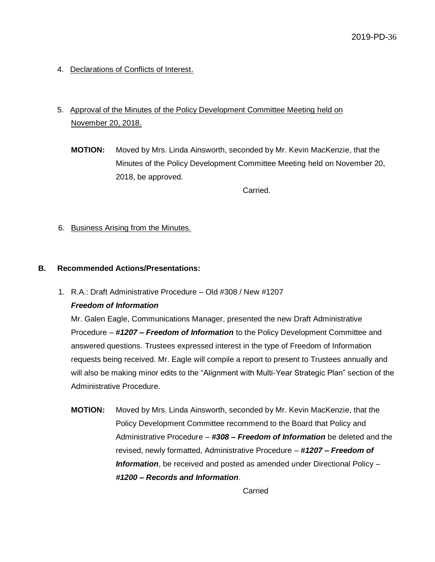4. Declarations of Conflicts of Interest.

# 5. Approval of the Minutes of the Policy Development Committee Meeting held on November 20, 2018.

**MOTION:** Moved by Mrs. Linda Ainsworth, seconded by Mr. Kevin MacKenzie, that the Minutes of the Policy Development Committee Meeting held on November 20, 2018, be approved.

Carried.

6. Business Arising from the Minutes.

# **B. Recommended Actions/Presentations:**

1. R.A.: Draft Administrative Procedure – Old #308 / New #1207

# *Freedom of Information*

Mr. Galen Eagle, Communications Manager, presented the new Draft Administrative Procedure – *#1207 – Freedom of Information* to the Policy Development Committee and answered questions. Trustees expressed interest in the type of Freedom of Information requests being received. Mr. Eagle will compile a report to present to Trustees annually and will also be making minor edits to the "Alignment with Multi-Year Strategic Plan" section of the Administrative Procedure.

**MOTION:** Moved by Mrs. Linda Ainsworth, seconded by Mr. Kevin MacKenzie, that the Policy Development Committee recommend to the Board that Policy and Administrative Procedure – *#308 – Freedom of Information* be deleted and the revised, newly formatted, Administrative Procedure – *#1207 – Freedom of Information*, be received and posted as amended under Directional Policy – *#1200 – Records and Information*.

Carried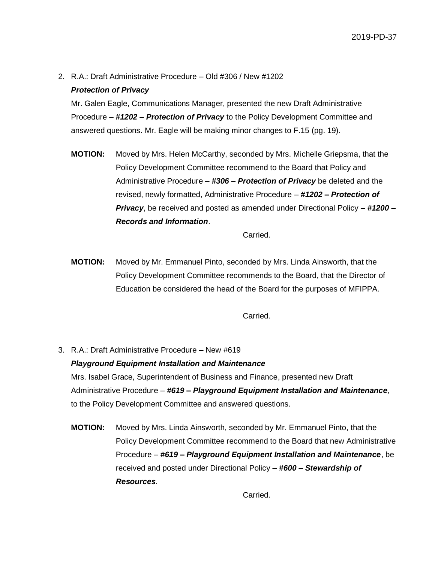2. R.A.: Draft Administrative Procedure – Old #306 / New #1202

# *Protection of Privacy*

Mr. Galen Eagle, Communications Manager, presented the new Draft Administrative Procedure – *#1202 – Protection of Privacy* to the Policy Development Committee and answered questions. Mr. Eagle will be making minor changes to F.15 (pg. 19).

**MOTION:** Moved by Mrs. Helen McCarthy, seconded by Mrs. Michelle Griepsma, that the Policy Development Committee recommend to the Board that Policy and Administrative Procedure – *#306 – Protection of Privacy* be deleted and the revised, newly formatted, Administrative Procedure – *#1202 – Protection of Privacy*, be received and posted as amended under Directional Policy – *#1200 – Records and Information*.

Carried.

**MOTION:** Moved by Mr. Emmanuel Pinto, seconded by Mrs. Linda Ainsworth, that the Policy Development Committee recommends to the Board, that the Director of Education be considered the head of the Board for the purposes of MFIPPA.

Carried.

- 3. R.A.: Draft Administrative Procedure New #619 *Playground Equipment Installation and Maintenance* Mrs. Isabel Grace, Superintendent of Business and Finance, presented new Draft Administrative Procedure – *#619 – Playground Equipment Installation and Maintenance*, to the Policy Development Committee and answered questions.
	- **MOTION:** Moved by Mrs. Linda Ainsworth, seconded by Mr. Emmanuel Pinto, that the Policy Development Committee recommend to the Board that new Administrative Procedure – *#619 – Playground Equipment Installation and Maintenance*, be received and posted under Directional Policy – *#600 – Stewardship of Resources*.

Carried.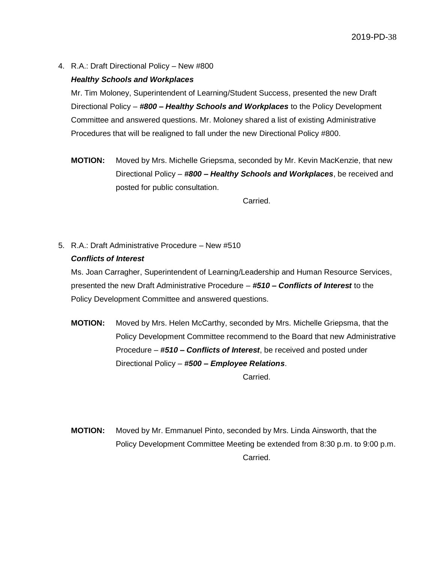4. R.A.: Draft Directional Policy – New #800

#### *Healthy Schools and Workplaces*

Mr. Tim Moloney, Superintendent of Learning/Student Success, presented the new Draft Directional Policy – *#800 – Healthy Schools and Workplaces* to the Policy Development Committee and answered questions. Mr. Moloney shared a list of existing Administrative Procedures that will be realigned to fall under the new Directional Policy #800.

**MOTION:** Moved by Mrs. Michelle Griepsma, seconded by Mr. Kevin MacKenzie, that new Directional Policy – *#800 – Healthy Schools and Workplaces*, be received and posted for public consultation.

Carried.

5. R.A.: Draft Administrative Procedure – New #510 *Conflicts of Interest*

Ms. Joan Carragher, Superintendent of Learning/Leadership and Human Resource Services, presented the new Draft Administrative Procedure – *#510 – Conflicts of Interest* to the Policy Development Committee and answered questions.

**MOTION:** Moved by Mrs. Helen McCarthy, seconded by Mrs. Michelle Griepsma, that the Policy Development Committee recommend to the Board that new Administrative Procedure – *#510 – Conflicts of Interest*, be received and posted under Directional Policy – *#500 – Employee Relations*.

Carried.

**MOTION:** Moved by Mr. Emmanuel Pinto, seconded by Mrs. Linda Ainsworth, that the Policy Development Committee Meeting be extended from 8:30 p.m. to 9:00 p.m. Carried.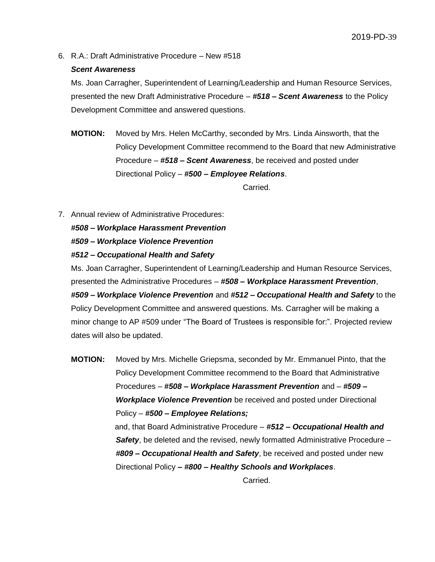6. R.A.: Draft Administrative Procedure – New #518

#### *Scent Awareness*

Ms. Joan Carragher, Superintendent of Learning/Leadership and Human Resource Services, presented the new Draft Administrative Procedure – *#518 – Scent Awareness* to the Policy Development Committee and answered questions.

**MOTION:** Moved by Mrs. Helen McCarthy, seconded by Mrs. Linda Ainsworth, that the Policy Development Committee recommend to the Board that new Administrative Procedure – *#518 – Scent Awareness*, be received and posted under Directional Policy – *#500 – Employee Relations*.

Carried.

7. Annual review of Administrative Procedures:

*#508 – Workplace Harassment Prevention*

*#509 – Workplace Violence Prevention*

*#512 – Occupational Health and Safety*

Ms. Joan Carragher, Superintendent of Learning/Leadership and Human Resource Services, presented the Administrative Procedures – *#508 – Workplace Harassment Prevention*, *#509 – Workplace Violence Prevention* and *#512 – Occupational Health and Safety* to the Policy Development Committee and answered questions. Ms. Carragher will be making a minor change to AP #509 under "The Board of Trustees is responsible for:". Projected review dates will also be updated.

**MOTION:** Moved by Mrs. Michelle Griepsma, seconded by Mr. Emmanuel Pinto, that the Policy Development Committee recommend to the Board that Administrative Procedures – *#508 – Workplace Harassment Prevention* and – *#509 – Workplace Violence Prevention* be received and posted under Directional Policy – *#500 – Employee Relations;* and, that Board Administrative Procedure – *#512 – Occupational Health and Safety*, be deleted and the revised, newly formatted Administrative Procedure – *#809 – Occupational Health and Safety*, be received and posted under new Directional Policy *– #800 – Healthy Schools and Workplaces*.

Carried.